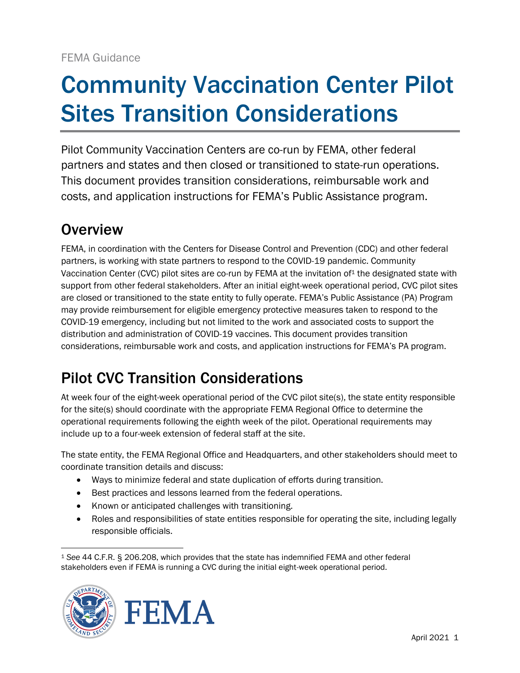# Community Vaccination Center Pilot Sites Transition Considerations

Pilot Community Vaccination Centers are co-run by FEMA, other federal partners and states and then closed or transitioned to state-run operations. This document provides transition considerations, reimbursable work and costs, and application instructions for FEMA's Public Assistance program.

## **Overview**

FEMA, in coordination with the Centers for Disease Control and Prevention (CDC) and other federal partners, is working with state partners to respond to the COVID-19 pandemic. Community Vaccination Center (CVC) pilot sites are co-run by FEMA at the invitation of<sup>1</sup> the designated state with support from other federal stakeholders. After an initial eight-week operational period, CVC pilot sites are closed or transitioned to the state entity to fully operate. FEMA's Public Assistance (PA) Program may provide reimbursement for eligible emergency protective measures taken to respond to the COVID-19 emergency, including but not limited to the work and associated costs to support the distribution and administration of COVID-19 vaccines. This document provides transition considerations, reimbursable work and costs, and application instructions for FEMA's PA program.

## Pilot CVC Transition Considerations

At week four of the eight-week operational period of the CVC pilot site(s), the state entity responsible for the site(s) should coordinate with the appropriate FEMA Regional Office to determine the operational requirements following the eighth week of the pilot. Operational requirements may include up to a four-week extension of federal staff at the site.

The state entity, the FEMA Regional Office and Headquarters, and other stakeholders should meet to coordinate transition details and discuss:

- Ways to minimize federal and state duplication of efforts during transition.
- Best practices and lessons learned from the federal operations.
- Known or anticipated challenges with transitioning.
- Roles and responsibilities of state entities responsible for operating the site, including legally responsible officials.

<sup>1</sup> *See* 44 C.F.R. § 206.208, which provides that the state has indemnified FEMA and other federal stakeholders even if FEMA is running a CVC during the initial eight-week operational period.



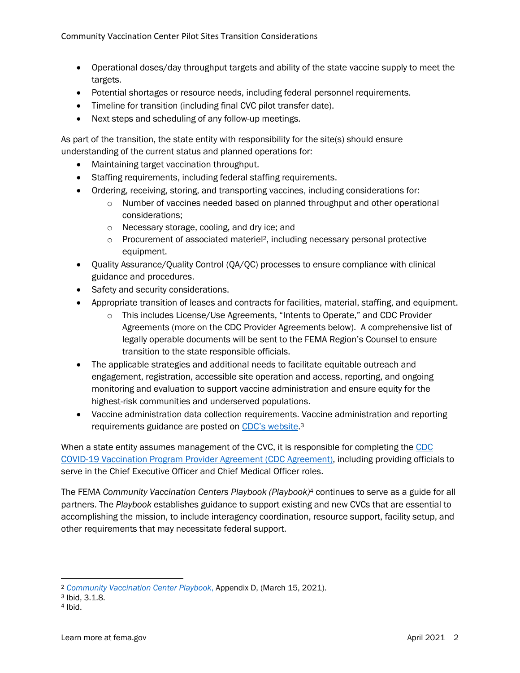- Operational doses/day throughput targets and ability of the state vaccine supply to meet the targets.
- Potential shortages or resource needs, including federal personnel requirements.
- Timeline for transition (including final CVC pilot transfer date).
- Next steps and scheduling of any follow-up meetings.

As part of the transition, the state entity with responsibility for the site(s) should ensure understanding of the current status and planned operations for:

- Maintaining target vaccination throughput.
- Staffing requirements, including federal staffing requirements.
- Ordering, receiving, storing, and transporting vaccines, including considerations for:
	- $\circ$  Number of vaccines needed based on planned throughput and other operational considerations;
	- o Necessary storage, cooling, and dry ice; and
	- o Procurement of associated materiel <sup>2</sup>, including necessary personal protective equipment.
- Quality Assurance/Quality Control (QA/QC) processes to ensure compliance with clinical guidance and procedures.
- Safety and security considerations.
- Appropriate transition of leases and contracts for facilities, material, staffing, and equipment.
	- o This includes License/Use Agreements, "Intents to Operate," and CDC Provider Agreements (more on the CDC Provider Agreements below). A comprehensive list of legally operable documents will be sent to the FEMA Region's Counsel to ensure transition to the state responsible officials.
- The applicable strategies and additional needs to facilitate equitable outreach and engagement, registration, accessible site operation and access, reporting, and ongoing monitoring and evaluation to support vaccine administration and ensure equity for the highest-risk communities and underserved populations.
- Vaccine administration data collection requirements. Vaccine administration and reporting requirements guidance are posted on [CDC's website](https://www.cdc.gov/vaccines/index.html).<sup>3</sup>

When a state entity assumes management of the CVC, it is responsible for completing the CDC [COVID-19 Vaccination Program Provider Agreement](https://content.govdelivery.com/attachments/NYDOH/2020/12/02/file_attachments/1615475/COVID-19%20Vaccination%20Program%20Provider%20Agreement%20&%20Profile%20&%20Addendum%2011-16-20.pdf) (CDC Agreement), including providing officials to serve in the Chief Executive Officer and Chief Medical Officer roles.

The FEMA *Community Vaccination Centers Playbook (Playbook)*<sup>4</sup> continues to serve as a guide for all partners. The *Playbook* establishes guidance to support existing and new CVCs that are essential to accomplishing the mission, to include interagency coordination, resource support, facility setup, and other requirements that may necessitate federal support.

<sup>2</sup> *[Community Vaccination Center Playbook](https://www.fema.gov/sites/default/files/documents/fema_community-vaccination-centers_playbook_03-26-2021.pdf)*, Appendix D, (March 15, 2021).

<sup>3</sup> Ibid, 3.1.8.

<sup>4</sup> Ibid.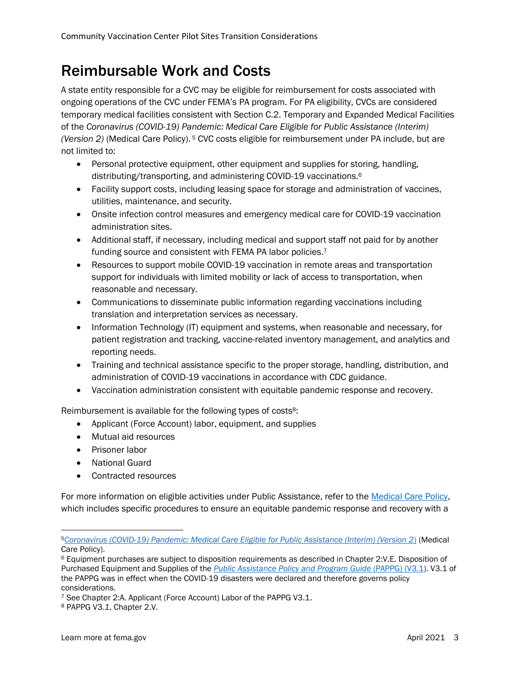#### Reimbursable Work and Costs

A state entity responsible for a CVC may be eligible for reimbursement for costs associated with ongoing operations of the CVC under FEMA's PA program. For PA eligibility, CVCs are considered temporary medical facilities consistent with Section C.2. Temporary and Expanded Medical Facilities of the *Coronavirus (COVID-19) Pandemic: Medical Care Eligible for Public Assistance (Interim) (Version 2)* (Medical Care Policy). <sup>5</sup> CVC costs eligible for reimbursement under PA include, but are not limited to:

- Personal protective equipment, other equipment and supplies for storing, handling, distributing/transporting, and administering COVID-19 vaccinations. 6
- Facility support costs, including leasing space for storage and administration of vaccines, utilities, maintenance, and security.
- Onsite infection control measures and emergency medical care for COVID-19 vaccination administration sites.
- Additional staff, if necessary, including medical and support staff not paid for by another funding source and consistent with FEMA PA labor policies.<sup>7</sup>
- Resources to support mobile COVID-19 vaccination in remote areas and transportation support for individuals with limited mobility or lack of access to transportation, when reasonable and necessary.
- Communications to disseminate public information regarding vaccinations including translation and interpretation services as necessary.
- Information Technology (IT) equipment and systems, when reasonable and necessary, for patient registration and tracking, vaccine-related inventory management, and analytics and reporting needs.
- Training and technical assistance specific to the proper storage, handling, distribution, and administration of COVID-19 vaccinations in accordance with CDC guidance.
- Vaccination administration consistent with equitable pandemic response and recovery.

Reimbursement is available for the following types of costs<sup>8</sup>:

- Applicant (Force Account) labor, equipment, and supplies
- Mutual aid resources
- Prisoner labor
- National Guard
- Contracted resources

For more information on eligible activities under Public Assistance, refer to the [Medical Care Policy,](https://www.fema.gov/sites/default/files/documents/fema_public-assistance-covid-19-medical-care-v2-with-equity-job-aid_policy_3-15-2021.pdf) which includes specific procedures to ensure an equitable pandemic response and recovery with a

<sup>5</sup>*[Coronavirus \(COVID-19\) Pandemic: Medical Care Eligible for Public Assistance \(Interim\) \(Version 2](https://www.fema.gov/sites/default/files/documents/fema_public-assistance-covid-19-medical-care-v2-with-equity-job-aid_policy_3-15-2021.pdf)*) (Medical Care Policy).

<sup>6</sup> Equipment purchases are subject to disposition requirements as described in Chapter 2:V.E. Disposition of Purchased Equipment and Supplies of the *[Public Assistance Policy and Program Guide](https://www.fema.gov/sites/default/files/2020-03/public-assistance-program-and-policy-guide_v3.1_4-26-2018.pdf)* (PAPPG) (V3.1). V3.1 of the PAPPG was in effect when the COVID-19 disasters were declared and therefore governs policy considerations.

<sup>7</sup> See Chapter 2:A. Applicant (Force Account) Labor of the PAPPG V3.1.

<sup>8</sup> PAPPG V3*.1*, Chapter 2.V.